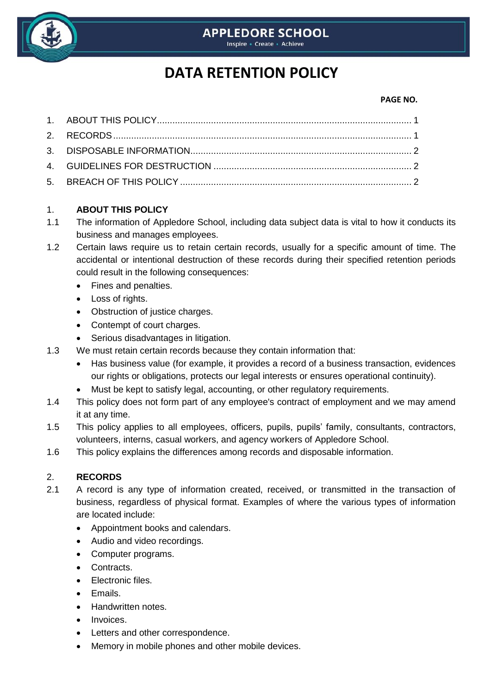

## **APPLEDORE SCHOOL**

Inspire - Create - Achieve

# **DATA RETENTION POLICY**

#### **PAGE NO.**

### 1. **ABOUT THIS POLICY**

- 1.1 The information of Appledore School, including data subject data is vital to how it conducts its business and manages employees.
- 1.2 Certain laws require us to retain certain records, usually for a specific amount of time. The accidental or intentional destruction of these records during their specified retention periods could result in the following consequences:
	- Fines and penalties.
	- Loss of rights.
	- Obstruction of justice charges.
	- Contempt of court charges.
	- Serious disadvantages in litigation.
- 1.3 We must retain certain records because they contain information that:
	- Has business value (for example, it provides a record of a business transaction, evidences our rights or obligations, protects our legal interests or ensures operational continuity).
	- Must be kept to satisfy legal, accounting, or other regulatory requirements.
- 1.4 This policy does not form part of any employee's contract of employment and we may amend it at any time.
- 1.5 This policy applies to all employees, officers, pupils, pupils' family, consultants, contractors, volunteers, interns, casual workers, and agency workers of Appledore School.
- 1.6 This policy explains the differences among records and disposable information.

## 2. **RECORDS**

- 2.1 A record is any type of information created, received, or transmitted in the transaction of business, regardless of physical format. Examples of where the various types of information are located include:
	- Appointment books and calendars.
	- Audio and video recordings.
	- Computer programs.
	- Contracts.
	- Electronic files.
	- Emails.
	- Handwritten notes.
	- **·** Invoices.
	- Letters and other correspondence.
	- Memory in mobile phones and other mobile devices.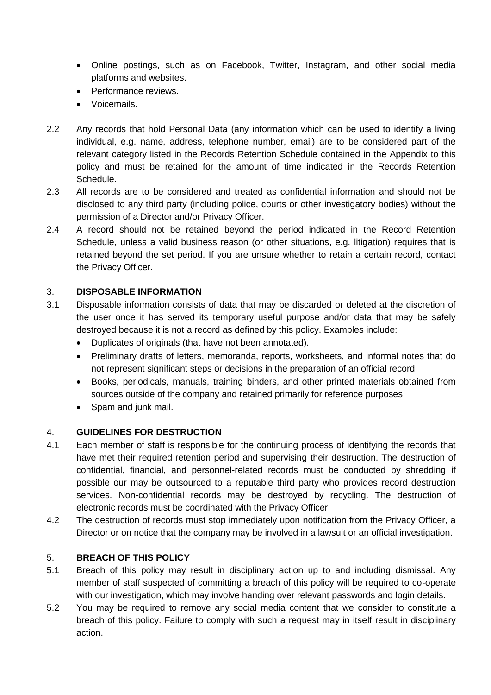- Online postings, such as on Facebook, Twitter, Instagram, and other social media platforms and websites.
- Performance reviews
- Voicemails.
- 2.2 Any records that hold Personal Data (any information which can be used to identify a living individual, e.g. name, address, telephone number, email) are to be considered part of the relevant category listed in the Records Retention Schedule contained in the Appendix to this policy and must be retained for the amount of time indicated in the Records Retention Schedule.
- 2.3 All records are to be considered and treated as confidential information and should not be disclosed to any third party (including police, courts or other investigatory bodies) without the permission of a Director and/or Privacy Officer.
- 2.4 A record should not be retained beyond the period indicated in the Record Retention Schedule, unless a valid business reason (or other situations, e.g. litigation) requires that is retained beyond the set period. If you are unsure whether to retain a certain record, contact the Privacy Officer.

### 3. **DISPOSABLE INFORMATION**

- 3.1 Disposable information consists of data that may be discarded or deleted at the discretion of the user once it has served its temporary useful purpose and/or data that may be safely destroyed because it is not a record as defined by this policy. Examples include:
	- Duplicates of originals (that have not been annotated).
	- Preliminary drafts of letters, memoranda, reports, worksheets, and informal notes that do not represent significant steps or decisions in the preparation of an official record.
	- Books, periodicals, manuals, training binders, and other printed materials obtained from sources outside of the company and retained primarily for reference purposes.
	- Spam and junk mail.

### 4. **GUIDELINES FOR DESTRUCTION**

- 4.1 Each member of staff is responsible for the continuing process of identifying the records that have met their required retention period and supervising their destruction. The destruction of confidential, financial, and personnel-related records must be conducted by shredding if possible our may be outsourced to a reputable third party who provides record destruction services. Non-confidential records may be destroyed by recycling. The destruction of electronic records must be coordinated with the Privacy Officer.
- 4.2 The destruction of records must stop immediately upon notification from the Privacy Officer, a Director or on notice that the company may be involved in a lawsuit or an official investigation.

### 5. **BREACH OF THIS POLICY**

- 5.1 Breach of this policy may result in disciplinary action up to and including dismissal. Any member of staff suspected of committing a breach of this policy will be required to co-operate with our investigation, which may involve handing over relevant passwords and login details.
- 5.2 You may be required to remove any social media content that we consider to constitute a breach of this policy. Failure to comply with such a request may in itself result in disciplinary action.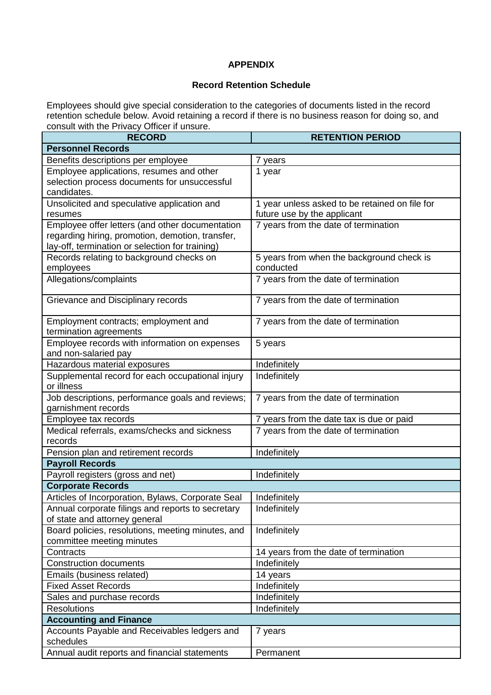#### **APPENDIX**

#### **Record Retention Schedule**

Employees should give special consideration to the categories of documents listed in the record retention schedule below. Avoid retaining a record if there is no business reason for doing so, and consult with the Privacy Officer if unsure.

| <b>RECORD</b>                                                  | <b>RETENTION PERIOD</b>                        |  |  |  |
|----------------------------------------------------------------|------------------------------------------------|--|--|--|
| <b>Personnel Records</b>                                       |                                                |  |  |  |
| Benefits descriptions per employee                             | 7 years                                        |  |  |  |
| Employee applications, resumes and other                       | 1 year                                         |  |  |  |
| selection process documents for unsuccessful                   |                                                |  |  |  |
| candidates.                                                    |                                                |  |  |  |
| Unsolicited and speculative application and                    | 1 year unless asked to be retained on file for |  |  |  |
| resumes                                                        | future use by the applicant                    |  |  |  |
| Employee offer letters (and other documentation                | 7 years from the date of termination           |  |  |  |
| regarding hiring, promotion, demotion, transfer,               |                                                |  |  |  |
| lay-off, termination or selection for training)                |                                                |  |  |  |
| Records relating to background checks on                       | 5 years from when the background check is      |  |  |  |
| employees                                                      | conducted                                      |  |  |  |
| Allegations/complaints                                         | 7 years from the date of termination           |  |  |  |
| Grievance and Disciplinary records                             | 7 years from the date of termination           |  |  |  |
| Employment contracts; employment and<br>termination agreements | 7 years from the date of termination           |  |  |  |
| Employee records with information on expenses                  | 5 years                                        |  |  |  |
| and non-salaried pay                                           |                                                |  |  |  |
| Hazardous material exposures                                   | Indefinitely                                   |  |  |  |
| Supplemental record for each occupational injury               | Indefinitely                                   |  |  |  |
| or illness                                                     |                                                |  |  |  |
| Job descriptions, performance goals and reviews;               | 7 years from the date of termination           |  |  |  |
| garnishment records                                            |                                                |  |  |  |
| Employee tax records                                           | 7 years from the date tax is due or paid       |  |  |  |
| Medical referrals, exams/checks and sickness                   | 7 years from the date of termination           |  |  |  |
| records                                                        |                                                |  |  |  |
| Pension plan and retirement records                            | Indefinitely                                   |  |  |  |
| <b>Payroll Records</b>                                         |                                                |  |  |  |
| Payroll registers (gross and net)                              | Indefinitely                                   |  |  |  |
| <b>Corporate Records</b>                                       |                                                |  |  |  |
| Articles of Incorporation, Bylaws, Corporate Seal              | Indefinitely                                   |  |  |  |
| Annual corporate filings and reports to secretary              | Indefinitely                                   |  |  |  |
| of state and attorney general                                  |                                                |  |  |  |
| Board policies, resolutions, meeting minutes, and              | Indefinitely                                   |  |  |  |
| committee meeting minutes                                      |                                                |  |  |  |
| Contracts                                                      | 14 years from the date of termination          |  |  |  |
| <b>Construction documents</b>                                  | Indefinitely                                   |  |  |  |
| Emails (business related)                                      | 14 years                                       |  |  |  |
| <b>Fixed Asset Records</b>                                     | Indefinitely                                   |  |  |  |
| Sales and purchase records                                     | Indefinitely                                   |  |  |  |
| <b>Resolutions</b>                                             | Indefinitely                                   |  |  |  |
| <b>Accounting and Finance</b>                                  |                                                |  |  |  |
| Accounts Payable and Receivables ledgers and<br>schedules      | 7 years                                        |  |  |  |
| Annual audit reports and financial statements                  | Permanent                                      |  |  |  |